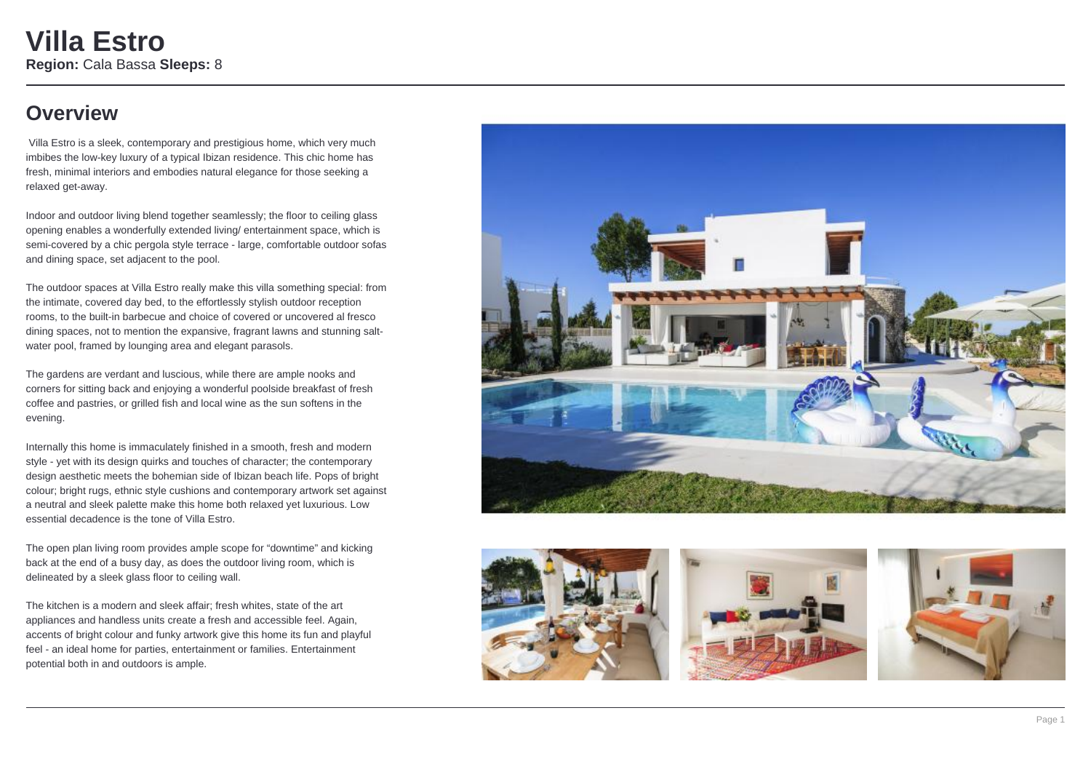### **Overview**

 Villa Estro is a sleek, contemporary and prestigious home, which very much imbibes the low-key luxury of a typical Ibizan residence. This chic home has fresh, minimal interiors and embodies natural elegance for those seeking a relaxed get-away.

Indoor and outdoor living blend together seamlessly; the floor to ceiling glass opening enables a wonderfully extended living/ entertainment space, which is semi-covered by a chic pergola style terrace - large, comfortable outdoor sofas and dining space, set adjacent to the pool.

The outdoor spaces at Villa Estro really make this villa something special: from the intimate, covered day bed, to the effortlessly stylish outdoor reception rooms, to the built-in barbecue and choice of covered or uncovered al fresco dining spaces, not to mention the expansive, fragrant lawns and stunning saltwater pool, framed by lounging area and elegant parasols.

The gardens are verdant and luscious, while there are ample nooks and corners for sitting back and enjoying a wonderful poolside breakfast of fresh coffee and pastries, or grilled fish and local wine as the sun softens in the evening.

Internally this home is immaculately finished in a smooth, fresh and modern style - yet with its design quirks and touches of character; the contemporary design aesthetic meets the bohemian side of Ibizan beach life. Pops of bright colour; bright rugs, ethnic style cushions and contemporary artwork set against a neutral and sleek palette make this home both relaxed yet luxurious. Low essential decadence is the tone of Villa Estro.

The open plan living room provides ample scope for "downtime" and kicking back at the end of a busy day, as does the outdoor living room, which is delineated by a sleek glass floor to ceiling wall.

The kitchen is a modern and sleek affair; fresh whites, state of the art appliances and handless units create a fresh and accessible feel. Again, accents of bright colour and funky artwork give this home its fun and playful feel - an ideal home for parties, entertainment or families. Entertainment potential both in and outdoors is ample.







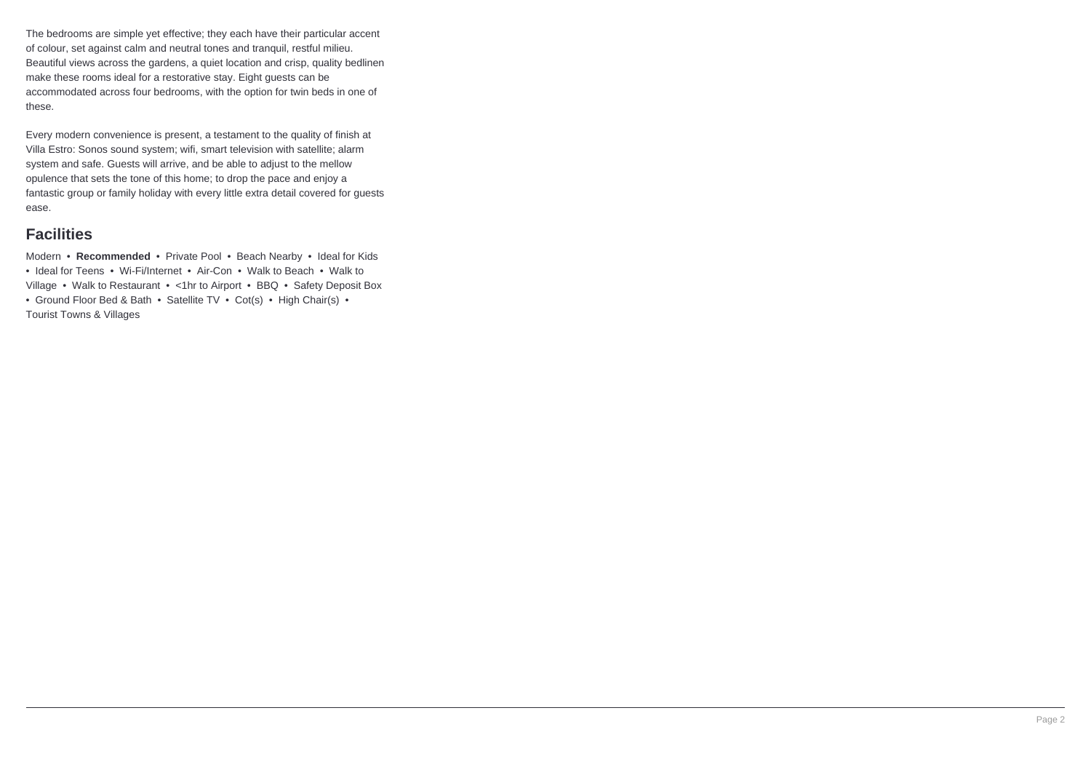The bedrooms are simple yet effective; they each have their particular accent of colour, set against calm and neutral tones and tranquil, restful milieu. Beautiful views across the gardens, a quiet location and crisp, quality bedlinen make these rooms ideal for a restorative stay. Eight guests can be accommodated across four bedrooms, with the option for twin beds in one of these.

Every modern convenience is present, a testament to the quality of finish at Villa Estro: Sonos sound system; wifi, smart television with satellite; alarm system and safe. Guests will arrive, and be able to adjust to the mellow opulence that sets the tone of this home; to drop the pace and enjoy a fantastic group or family holiday with every little extra detail covered for guests ease.

### **Facilities**

Modern • **Recommended** • Private Pool • Beach Nearby • Ideal for Kids • Ideal for Teens • Wi-Fi/Internet • Air-Con • Walk to Beach • Walk to Village • Walk to Restaurant • <1hr to Airport • BBQ • Safety Deposit Box • Ground Floor Bed & Bath • Satellite TV • Cot(s) • High Chair(s) • Tourist Towns & Villages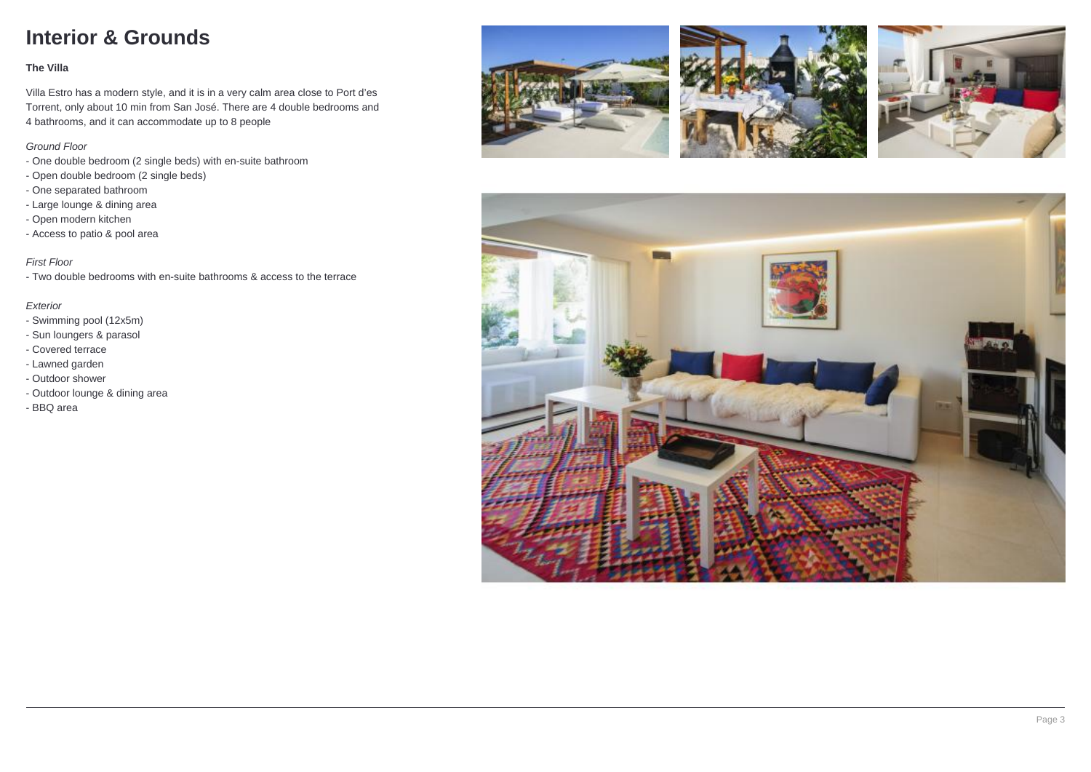## **Interior & Grounds**

#### **The Villa**

Villa Estro has a modern style, and it is in a very calm area close to Port d'es Torrent, only about 10 min from San José. There are 4 double bedrooms and 4 bathrooms, and it can accommodate up to 8 people

#### Ground Floor

- One double bedroom (2 single beds) with en-suite bathroom
- Open double bedroom (2 single beds)
- One separated bathroom
- Large lounge & dining area
- Open modern kitchen
- Access to patio & pool area

#### First Floor

- Two double bedrooms with en-suite bathrooms & access to the terrace

#### Exterior

- Swimming pool (12x5m)
- Sun loungers & parasol
- Covered terrace
- Lawned garden
- Outdoor shower
- Outdoor lounge & dining area
- BBQ area







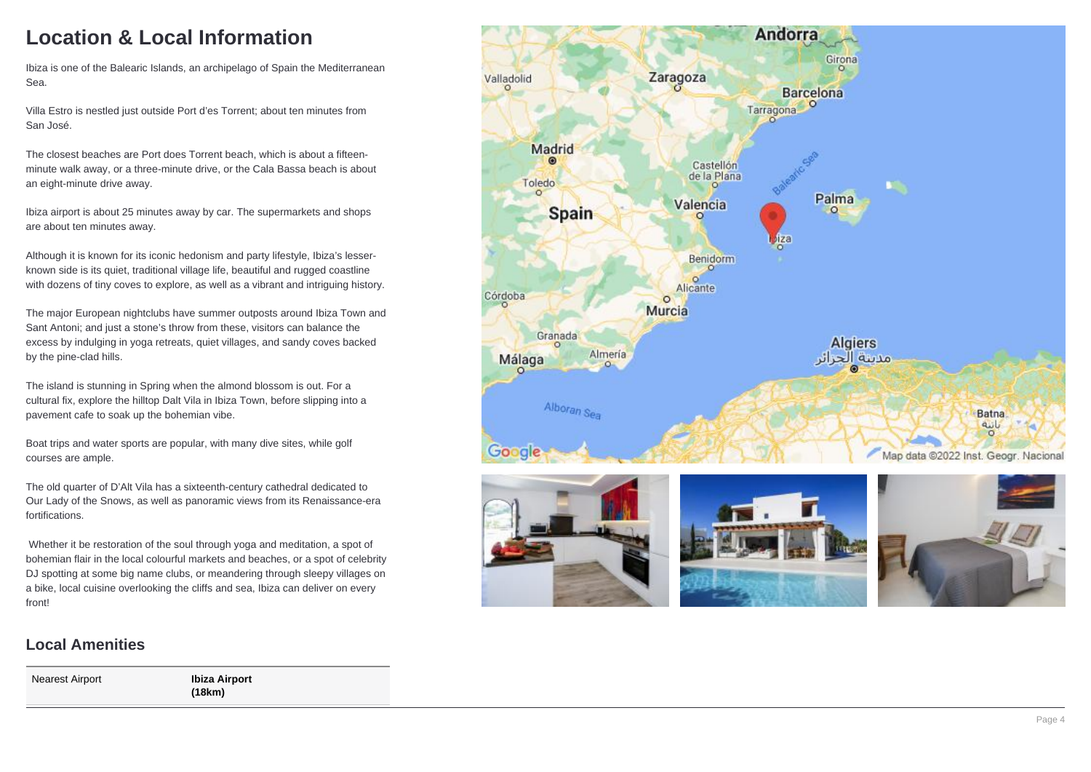# **Location & Local Information**

Ibiza is one of the Balearic Islands, an archipelago of Spain the Mediterranean Sea.

Villa Estro is nestled just outside Port d'es Torrent; about ten minutes from San José.

The closest beaches are Port does Torrent beach, which is about a fifteenminute walk away, or a three-minute drive, or the Cala Bassa beach is about an eight-minute drive away.

Ibiza airport is about 25 minutes away by car. The supermarkets and shops are about ten minutes away.

Although it is known for its iconic hedonism and party lifestyle, Ibiza's lesserknown side is its quiet, traditional village life, beautiful and rugged coastline with dozens of tiny coves to explore, as well as a vibrant and intriguing history.

The major European nightclubs have summer outposts around Ibiza Town and Sant Antoni; and just a stone's throw from these, visitors can balance the excess by indulging in yoga retreats, quiet villages, and sandy coves backed by the pine-clad hills.

The island is stunning in Spring when the almond blossom is out. For a cultural fix, explore the hilltop Dalt Vila in Ibiza Town, before slipping into a pavement cafe to soak up the bohemian vibe.

Boat trips and water sports are popular, with many dive sites, while golf courses are ample.

The old quarter of D'Alt Vila has a sixteenth-century cathedral dedicated to Our Lady of the Snows, as well as panoramic views from its Renaissance-era fortifications.

 Whether it be restoration of the soul through yoga and meditation, a spot of bohemian flair in the local colourful markets and beaches, or a spot of celebrity DJ spotting at some big name clubs, or meandering through sleepy villages on a bike, local cuisine overlooking the cliffs and sea, Ibiza can deliver on every front!

#### Andorra **Girona** Zaragoza Valladolid **Barcelona** Tarragona<sup>O</sup> Madrid Castellón de la Plana Toledo  $\circ$ Palma Valencia **Spain**  $\circ$ 79 Benidorm  $\overline{\circ}$  $\circ$ Alicante Córdoba  $\circ$ Murcia Granada **Algiers** Almería Málaga مدينة الحرائر Alboran Sea **Batna** بانيه Google Map data @2022 Inst. Geogr. Nacional







#### **Local Amenities**

Nearest Airport **Ibiza Airport (18km)**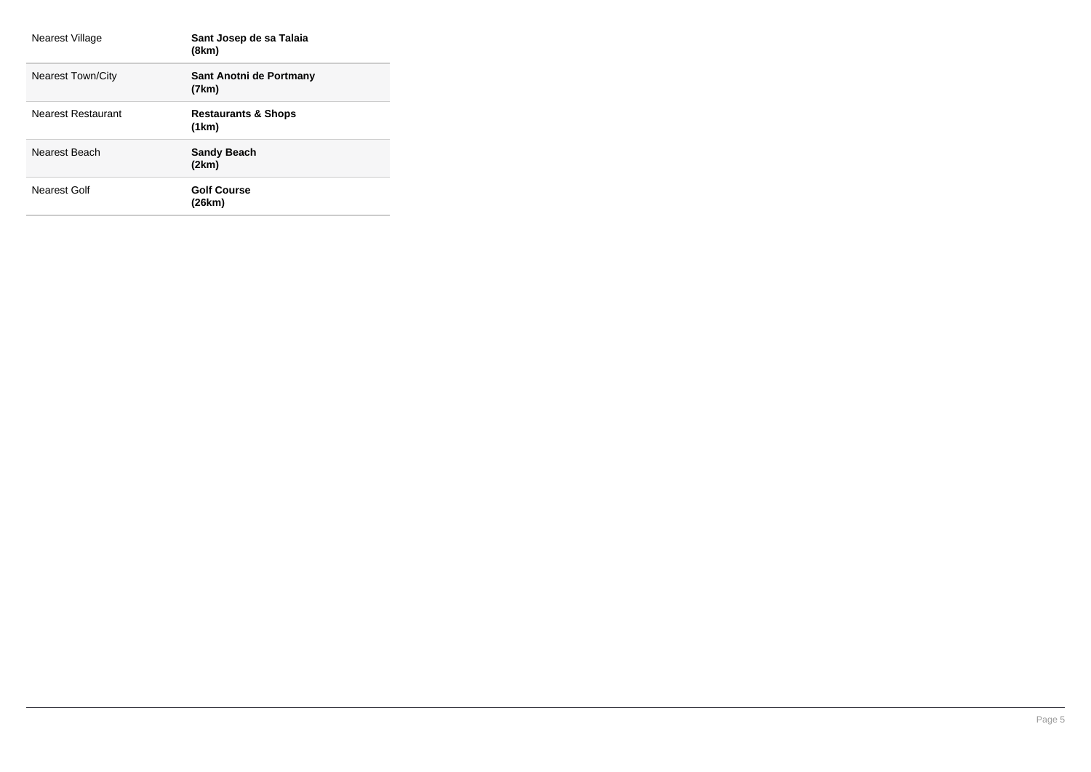| Nearest Village          | Sant Josep de sa Talaia<br>(8km)        |
|--------------------------|-----------------------------------------|
| <b>Nearest Town/City</b> | Sant Anotni de Portmany<br>(7km)        |
| Nearest Restaurant       | <b>Restaurants &amp; Shops</b><br>(1km) |
| Nearest Beach            | <b>Sandy Beach</b><br>(2km)             |
| Nearest Golf             | <b>Golf Course</b><br>(26km)            |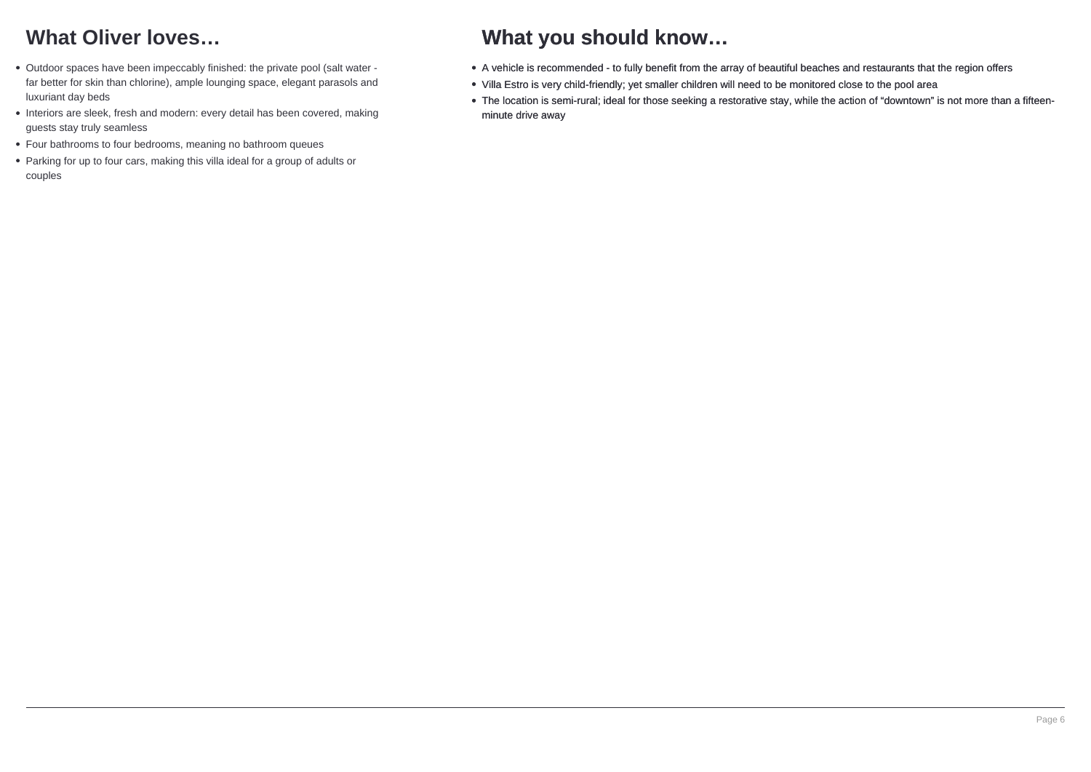# **What Oliver loves…**

- Outdoor spaces have been impeccably finished: the private pool (salt water far better for skin than chlorine), ample lounging space, elegant parasols and luxuriant day beds
- Interiors are sleek, fresh and modern: every detail has been covered, making guests stay truly seamless
- Four bathrooms to four bedrooms, meaning no bathroom queues
- Parking for up to four cars, making this villa ideal for a group of adults or couples

# **What you should know…**

- A vehicle is recommended to fully benefit from the array of beautiful beaches and restaurants that the region offers
- Villa Estro is very child-friendly; yet smaller children will need to be monitored close to the pool area
- The location is semi-rural; ideal for those seeking a restorative stay, while the action of "downtown" is not more than a fifteenminute drive away